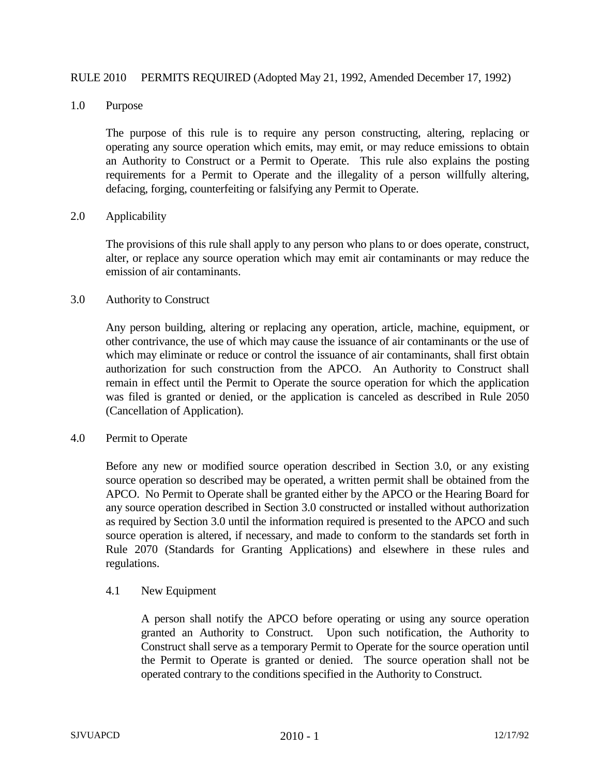## RULE 2010 PERMITS REQUIRED (Adopted May 21, 1992, Amended December 17, 1992)

#### 1.0 Purpose

The purpose of this rule is to require any person constructing, altering, replacing or operating any source operation which emits, may emit, or may reduce emissions to obtain an Authority to Construct or a Permit to Operate. This rule also explains the posting requirements for a Permit to Operate and the illegality of a person willfully altering, defacing, forging, counterfeiting or falsifying any Permit to Operate.

## 2.0 Applicability

The provisions of this rule shall apply to any person who plans to or does operate, construct, alter, or replace any source operation which may emit air contaminants or may reduce the emission of air contaminants.

## 3.0 Authority to Construct

Any person building, altering or replacing any operation, article, machine, equipment, or other contrivance, the use of which may cause the issuance of air contaminants or the use of which may eliminate or reduce or control the issuance of air contaminants, shall first obtain authorization for such construction from the APCO. An Authority to Construct shall remain in effect until the Permit to Operate the source operation for which the application was filed is granted or denied, or the application is canceled as described in Rule 2050 (Cancellation of Application).

## 4.0 Permit to Operate

Before any new or modified source operation described in Section 3.0, or any existing source operation so described may be operated, a written permit shall be obtained from the APCO. No Permit to Operate shall be granted either by the APCO or the Hearing Board for any source operation described in Section 3.0 constructed or installed without authorization as required by Section 3.0 until the information required is presented to the APCO and such source operation is altered, if necessary, and made to conform to the standards set forth in Rule 2070 (Standards for Granting Applications) and elsewhere in these rules and regulations.

#### 4.1 New Equipment

A person shall notify the APCO before operating or using any source operation granted an Authority to Construct. Upon such notification, the Authority to Construct shall serve as a temporary Permit to Operate for the source operation until the Permit to Operate is granted or denied. The source operation shall not be operated contrary to the conditions specified in the Authority to Construct.